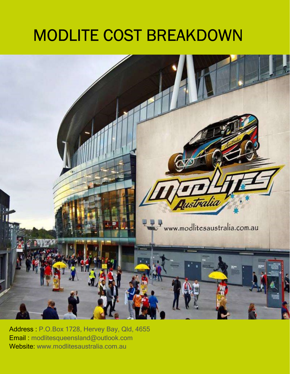## MODLITE COST BREAKDOWN



Address : P.O.Box 1728, Hervey Bay, Qld, 4655 Email : modlitesqueensland@outlook.com Website: www.modlitesaustralia.com.au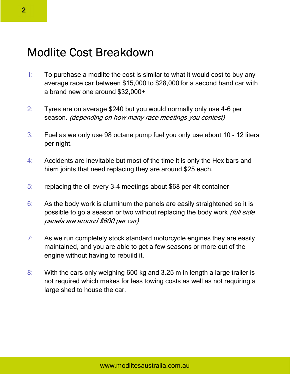## Modlite Cost Breakdown

- 1: To purchase a modlite the cost is similar to what it would cost to buy any average race car between \$15,000 to \$28,000 for a second hand car with a brand new one around \$32,000+
- 2: Tyres are on average \$240 but you would normally only use 4-6 per season. (depending on how many race meetings you contest)
- 3: Fuel as we only use 98 octane pump fuel you only use about 10 12 liters per night.
- 4: Accidents are inevitable but most of the time it is only the Hex bars and hiem joints that need replacing they are around \$25 each.
- 5: replacing the oil every 3-4 meetings about \$68 per 4lt container
- 6: As the body work is aluminum the panels are easily straightened so it is possible to go a season or two without replacing the body work (full side panels are around \$600 per car)
- 7: As we run completely stock standard motorcycle engines they are easily maintained, and you are able to get a few seasons or more out of the engine without having to rebuild it.
- 8: With the cars only weighing 600 kg and 3.25 m in length a large trailer is not required which makes for less towing costs as well as not requiring a large shed to house the car.